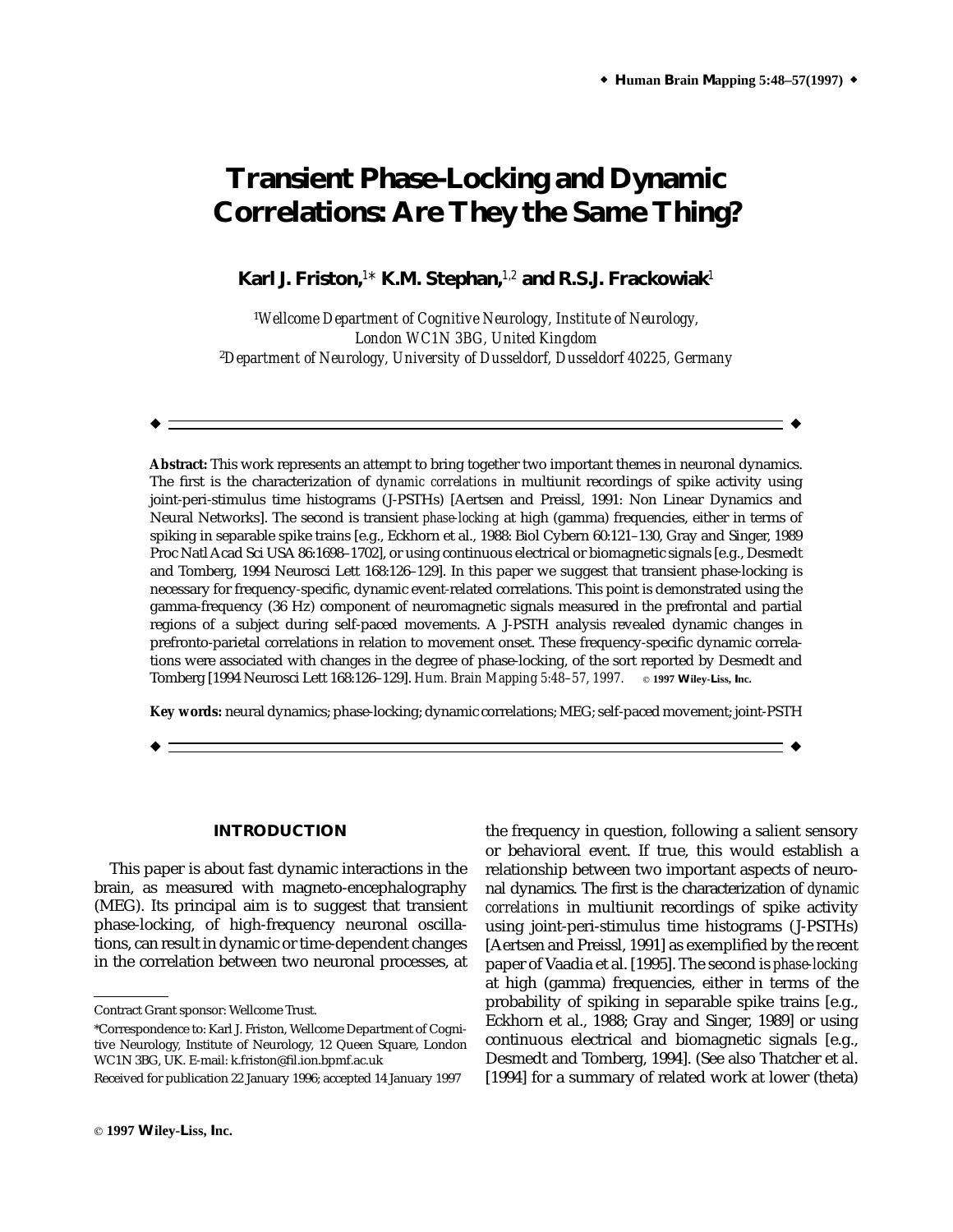# **Transient Phase-Locking and Dynamic Correlations: Are They the Same Thing?**

**Karl J. Friston,**1\* **K.M. Stephan,**1,2 **and R.S.J. Frackowiak**<sup>1</sup>

<sup>1</sup>*Wellcome Department of Cognitive Neurology, Institute of Neurology, London WC1N 3BG, United Kingdom* <sup>2</sup>*Department of Neurology, University of Dusseldorf, Dusseldorf 40225, Germany*

r r

**Abstract:** This work represents an attempt to bring together two important themes in neuronal dynamics. The first is the characterization of *dynamic correlations* in multiunit recordings of spike activity using joint-peri-stimulus time histograms (J-PSTHs) [Aertsen and Preissl, 1991: Non Linear Dynamics and Neural Networks]. The second is transient *phase-locking* at high (gamma) frequencies, either in terms of spiking in separable spike trains [e.g., Eckhorn et al., 1988: Biol Cybern 60:121–130, Gray and Singer, 1989 Proc Natl Acad Sci USA 86:1698–1702], or using continuous electrical or biomagnetic signals [e.g., Desmedt and Tomberg, 1994 Neurosci Lett 168:126–129]. In this paper we suggest that transient phase-locking is necessary for frequency-specific, dynamic event-related correlations. This point is demonstrated using the gamma-frequency (36 Hz) component of neuromagnetic signals measured in the prefrontal and partial regions of a subject during self-paced movements. A J-PSTH analysis revealed dynamic changes in prefronto-parietal correlations in relation to movement onset. These frequency-specific dynamic correlations were associated with changes in the degree of phase-locking, of the sort reported by Desmedt and Tomberg [1994 Neurosci Lett 168:126–129]. *Hum. Brain Mapping 5:48–57, 1997.* r **<sup>1997</sup> <sup>W</sup>iley-Liss, <sup>I</sup>nc.**

**Key words:** neural dynamics; phase-locking; dynamic correlations; MEG; self-paced movement; joint-PSTH

r r

#### **INTRODUCTION**

This paper is about fast dynamic interactions in the brain, as measured with magneto-encephalography (MEG). Its principal aim is to suggest that transient phase-locking, of high-frequency neuronal oscillations, can result in dynamic or time-dependent changes in the correlation between two neuronal processes, at

the frequency in question, following a salient sensory or behavioral event. If true, this would establish a relationship between two important aspects of neuronal dynamics. The first is the characterization of *dynamic correlations* in multiunit recordings of spike activity using joint-peri-stimulus time histograms ( J-PSTHs) [Aertsen and Preissl, 1991] as exemplified by the recent paper of Vaadia et al. [1995]. The second is *phase-locking* at high (gamma) frequencies, either in terms of the probability of spiking in separable spike trains [e.g., Eckhorn et al., 1988; Gray and Singer, 1989] or using continuous electrical and biomagnetic signals [e.g., Desmedt and Tomberg, 1994]. (See also Thatcher et al. [1994] for a summary of related work at lower (theta)

Contract Grant sponsor: Wellcome Trust.

<sup>\*</sup>Correspondence to: Karl J. Friston, Wellcome Department of Cognitive Neurology, Institute of Neurology, 12 Queen Square, London WC1N 3BG, UK. E-mail: k.friston@fil.ion.bpmf.ac.uk

Received for publication 22 January 1996; accepted 14 January 1997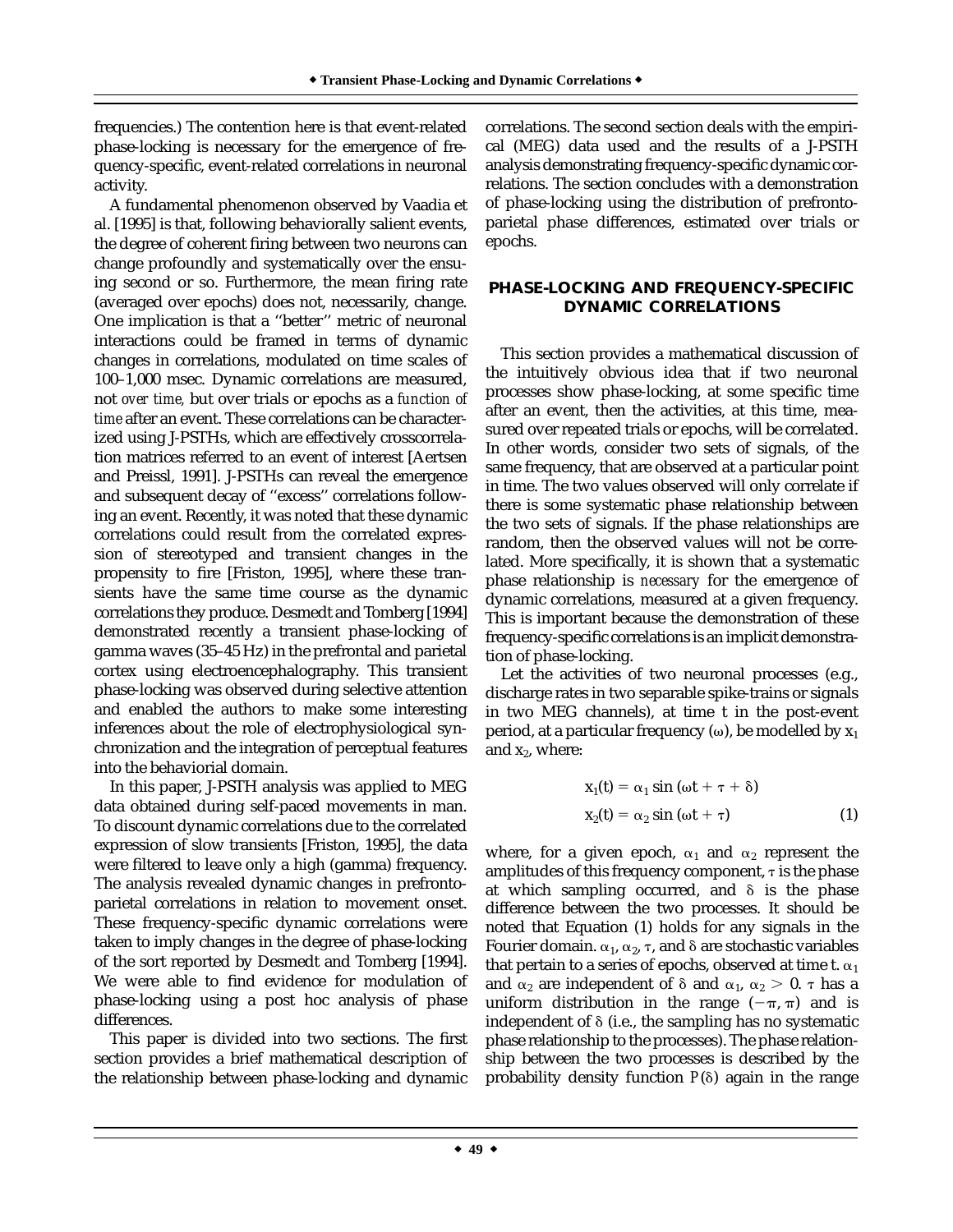frequencies.) The contention here is that event-related phase-locking is necessary for the emergence of frequency-specific, event-related correlations in neuronal activity.

A fundamental phenomenon observed by Vaadia et al. [1995] is that, following behaviorally salient events, the degree of coherent firing between two neurons can change profoundly and systematically over the ensuing second or so. Furthermore, the mean firing rate (averaged over epochs) does not, necessarily, change. One implication is that a ''better'' metric of neuronal interactions could be framed in terms of dynamic changes in correlations, modulated on time scales of 100–1,000 msec. Dynamic correlations are measured, not *over time,* but over trials or epochs as a *function of time* after an event. These correlations can be characterized using J-PSTHs, which are effectively crosscorrelation matrices referred to an event of interest [Aertsen and Preissl, 1991]. J-PSTHs can reveal the emergence and subsequent decay of ''excess'' correlations following an event. Recently, it was noted that these dynamic correlations could result from the correlated expression of stereotyped and transient changes in the propensity to fire [Friston, 1995], where these transients have the same time course as the dynamic correlations they produce. Desmedt and Tomberg [1994] demonstrated recently a transient phase-locking of gamma waves (35–45 Hz) in the prefrontal and parietal cortex using electroencephalography. This transient phase-locking was observed during selective attention and enabled the authors to make some interesting inferences about the role of electrophysiological synchronization and the integration of perceptual features into the behaviorial domain.

In this paper, J-PSTH analysis was applied to MEG data obtained during self-paced movements in man. To discount dynamic correlations due to the correlated expression of slow transients [Friston, 1995], the data were filtered to leave only a high (gamma) frequency. The analysis revealed dynamic changes in prefrontoparietal correlations in relation to movement onset. These frequency-specific dynamic correlations were taken to imply changes in the degree of phase-locking of the sort reported by Desmedt and Tomberg [1994]. We were able to find evidence for modulation of phase-locking using a post hoc analysis of phase differences.

This paper is divided into two sections. The first section provides a brief mathematical description of the relationship between phase-locking and dynamic

correlations. The second section deals with the empirical (MEG) data used and the results of a J-PSTH analysis demonstrating frequency-specific dynamic correlations. The section concludes with a demonstration of phase-locking using the distribution of prefrontoparietal phase differences, estimated over trials or epochs.

## **PHASE-LOCKING AND FREQUENCY-SPECIFIC DYNAMIC CORRELATIONS**

This section provides a mathematical discussion of the intuitively obvious idea that if two neuronal processes show phase-locking, at some specific time after an event, then the activities, at this time, measured over repeated trials or epochs, will be correlated. In other words, consider two sets of signals, of the same frequency, that are observed at a particular point in time. The two values observed will only correlate if there is some systematic phase relationship between the two sets of signals. If the phase relationships are random, then the observed values will not be correlated. More specifically, it is shown that a systematic phase relationship is *necessary* for the emergence of dynamic correlations, measured at a given frequency. This is important because the demonstration of these frequency-specific correlations is an implicit demonstration of phase-locking.

Let the activities of two neuronal processes (e.g., discharge rates in two separable spike-trains or signals in two MEG channels), at time t in the post-event period, at a particular frequency ( $\omega$ ), be modelled by  $x_1$ and  $x_2$ , where:

$$
x_1(t) = \alpha_1 \sin (\omega t + \tau + \delta)
$$
  
\n
$$
x_2(t) = \alpha_2 \sin (\omega t + \tau)
$$
 (1)

where, for a given epoch,  $\alpha_1$  and  $\alpha_2$  represent the amplitudes of this frequency component,  $\tau$  is the phase at which sampling occurred, and  $\delta$  is the phase difference between the two processes. It should be noted that Equation (1) holds for any signals in the Fourier domain.  $\alpha_1$ ,  $\alpha_2$ ,  $\tau$ , and  $\delta$  are stochastic variables that pertain to a series of epochs, observed at time t.  $\alpha_1$ and  $\alpha_2$  are independent of  $\delta$  and  $\alpha_1$ ,  $\alpha_2 > 0$ .  $\tau$  has a uniform distribution in the range  $(-\pi, \pi)$  and is independent of  $\delta$  (i.e., the sampling has no systematic phase relationship to the processes). The phase relationship between the two processes is described by the probability density function  $P(\delta)$  again in the range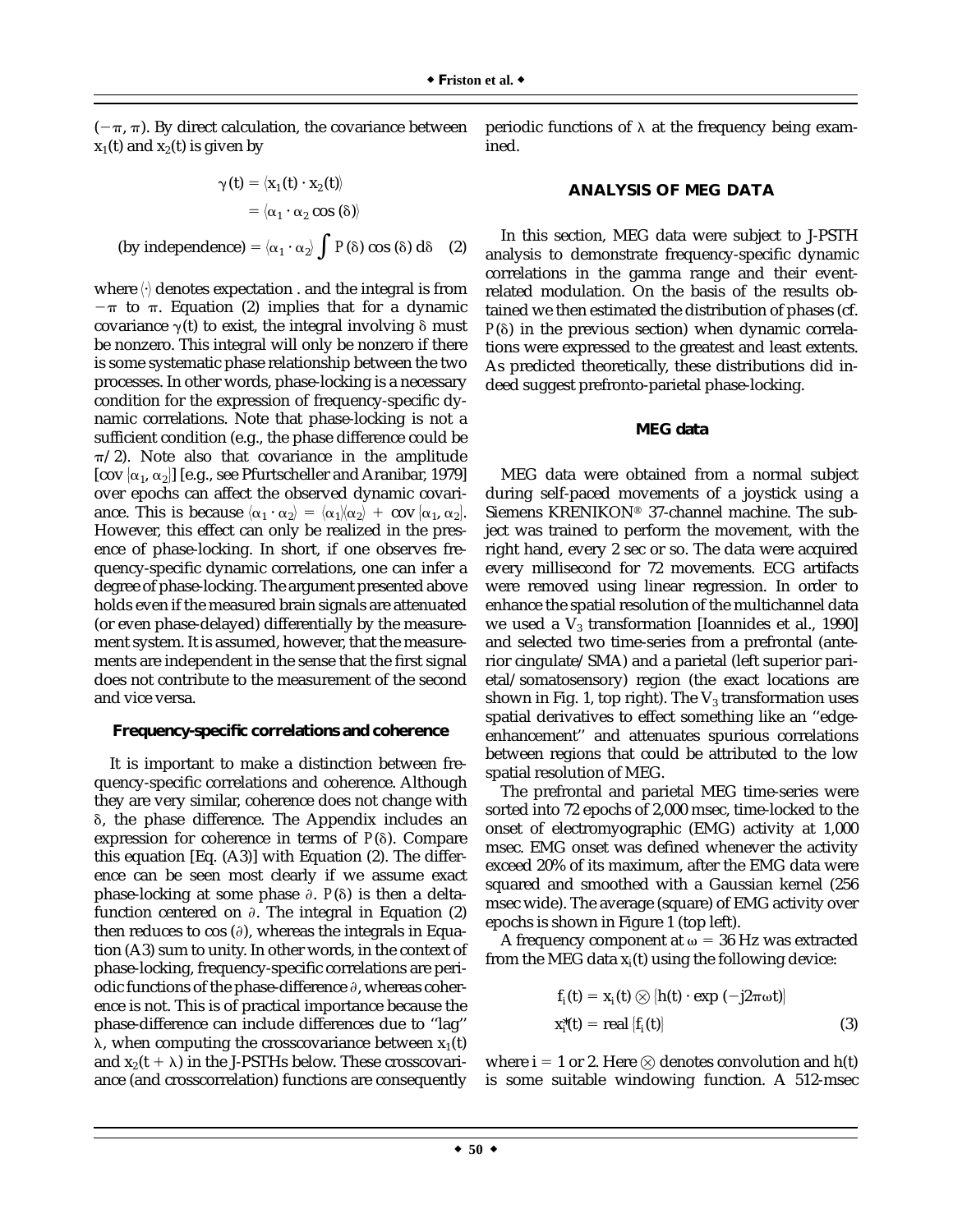$(-\pi, \pi)$ . By direct calculation, the covariance between  $x_1(t)$  and  $x_2(t)$  is given by

$$
\gamma(t) = \langle x_1(t) \cdot x_2(t) \rangle
$$
  
=  $\langle \alpha_1 \cdot \alpha_2 \cos(\delta) \rangle$   
(by independence) =  $\langle \alpha_1 \cdot \alpha_2 \rangle \int P(\delta) \cos(\delta) d\delta$  (2)

where  $\langle \cdot \rangle$  denotes expectation . and the integral is from  $-\pi$  to  $\pi$ . Equation (2) implies that for a dynamic covariance  $\gamma(t)$  to exist, the integral involving  $\delta$  must be nonzero. This integral will only be nonzero if there is some systematic phase relationship between the two processes. In other words, phase-locking is a necessary condition for the expression of frequency-specific dynamic correlations. Note that phase-locking is not a sufficient condition (e.g., the phase difference could be  $\pi/2$ ). Note also that covariance in the amplitude [cov  $\alpha_1, \alpha_2$ ] [e.g., see Pfurtscheller and Aranibar, 1979] over epochs can affect the observed dynamic covariance. This is because  $\langle \alpha_1 \cdot \alpha_2 \rangle = \langle \alpha_1 \rangle \langle \alpha_2 \rangle + \langle \alpha_2 \rangle \langle \alpha_1, \alpha_2 \rangle$ . However, this effect can only be realized in the presence of phase-locking. In short, if one observes frequency-specific dynamic correlations, one can infer a degree of phase-locking. The argument presented above holds even if the measured brain signals are attenuated (or even phase-delayed) differentially by the measurement system. It is assumed, however, that the measurements are independent in the sense that the first signal does not contribute to the measurement of the second and vice versa.

#### **Frequency-specific correlations and coherence**

It is important to make a distinction between frequency-specific correlations and coherence. Although they are very similar, coherence does not change with  $\delta$ , the phase difference. The Appendix includes an expression for coherence in terms of  $P(\delta)$ . Compare this equation [Eq. (A3)] with Equation (2). The difference can be seen most clearly if we assume exact phase-locking at some phase  $\partial$ . *P*( $\delta$ ) is then a deltafunction centered on  $\partial$ . The integral in Equation (2) then reduces to cos  $(\partial)$ , whereas the integrals in Equation (A3) sum to unity. In other words, in the context of phase-locking, frequency-specific correlations are periodic functions of the phase-difference  $\partial$ , whereas coherence is not. This is of practical importance because the phase-difference can include differences due to ''lag''  $\lambda$ , when computing the crosscovariance between  $x_1(t)$ and  $x_2(t + \lambda)$  in the J-PSTHs below. These crosscovariance (and crosscorrelation) functions are consequently periodic functions of  $\lambda$  at the frequency being examined.

### **ANALYSIS OF MEG DATA**

In this section, MEG data were subject to J-PSTH analysis to demonstrate frequency-specific dynamic correlations in the gamma range and their eventrelated modulation. On the basis of the results obtained we then estimated the distribution of phases (cf.  $P(\delta)$  in the previous section) when dynamic correlations were expressed to the greatest and least extents. As predicted theoretically, these distributions did indeed suggest prefronto-parietal phase-locking.

#### **MEG data**

MEG data were obtained from a normal subject during self-paced movements of a joystick using a Siemens KRENIKON® 37-channel machine. The subject was trained to perform the movement, with the right hand, every 2 sec or so. The data were acquired every millisecond for 72 movements. ECG artifacts were removed using linear regression. In order to enhance the spatial resolution of the multichannel data we used a  $V_3$  transformation [Ioannides et al., 1990] and selected two time-series from a prefrontal (anterior cingulate/SMA) and a parietal (left superior parietal/somatosensory) region (the exact locations are shown in Fig. 1, top right). The  $V_3$  transformation uses spatial derivatives to effect something like an ''edgeenhancement'' and attenuates spurious correlations between regions that could be attributed to the low spatial resolution of MEG.

The prefrontal and parietal MEG time-series were sorted into 72 epochs of 2,000 msec, time-locked to the onset of electromyographic (EMG) activity at 1,000 msec. EMG onset was defined whenever the activity exceed 20% of its maximum, after the EMG data were squared and smoothed with a Gaussian kernel (256 msec wide). The average (square) of EMG activity over epochs is shown in Figure 1 (top left).

A frequency component at  $\omega = 36$  Hz was extracted from the MEG data  $x_i(t)$  using the following device:

$$
f_i(t) = x_i(t) \otimes [h(t) \cdot \exp(-j2\pi\omega t)]
$$
  

$$
x_i^*(t) = \text{real } [f_i(t)]
$$
 (3)

where  $i = 1$  or 2. Here  $\otimes$  denotes convolution and h(t) is some suitable windowing function. A 512-msec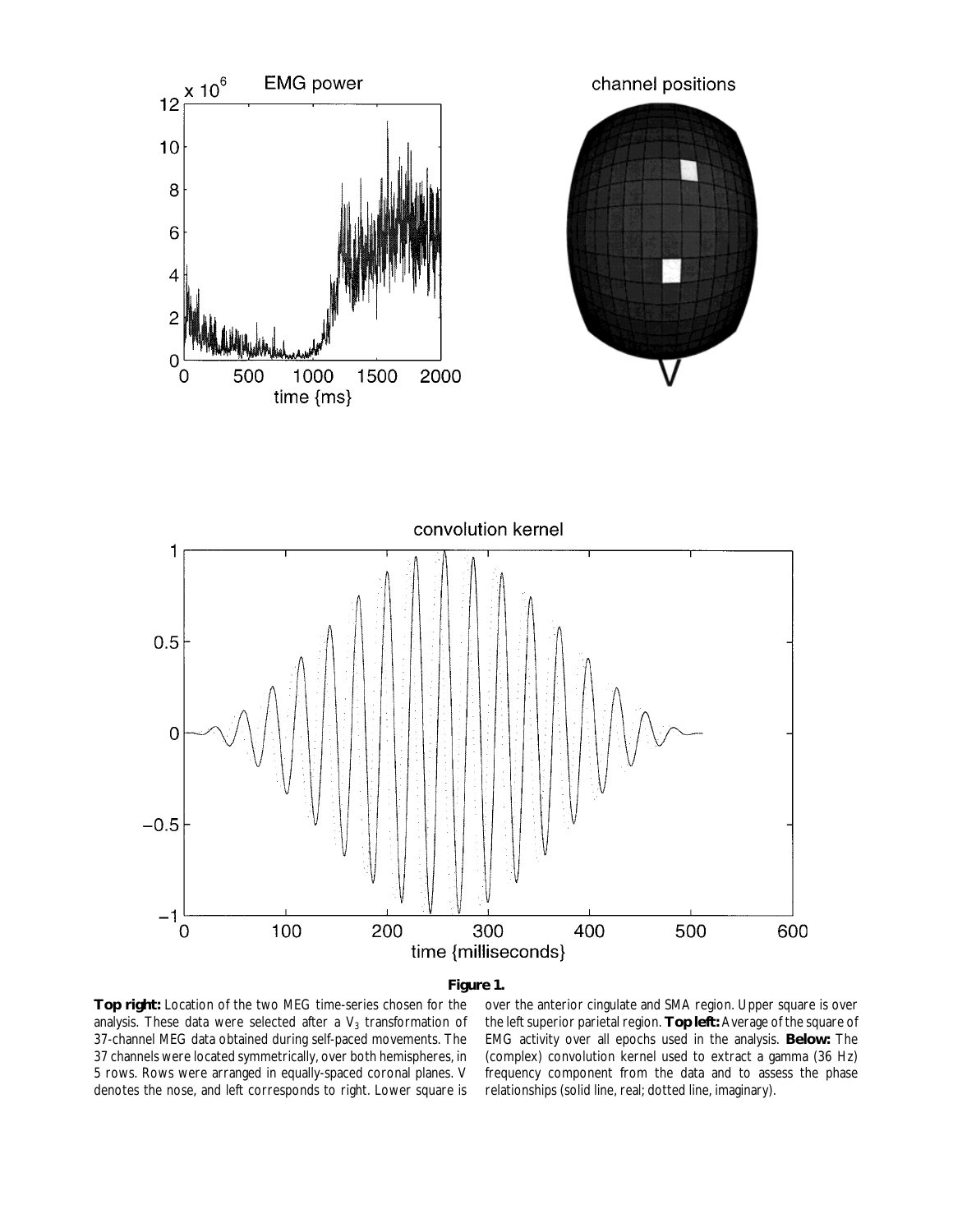

**Figure 1.**

**Top right:** Location of the two MEG time-series chosen for the analysis. These data were selected after a  $V_3$  transformation of 37-channel MEG data obtained during self-paced movements. The 37 channels were located symmetrically, over both hemispheres, in 5 rows. Rows were arranged in equally-spaced coronal planes. V denotes the nose, and left corresponds to right. Lower square is

over the anterior cingulate and SMA region. Upper square is over the left superior parietal region. **Top left:** Average of the square of EMG activity over all epochs used in the analysis. **Below:** The (complex) convolution kernel used to extract a gamma (36 Hz) frequency component from the data and to assess the phase relationships (solid line, real; dotted line, imaginary).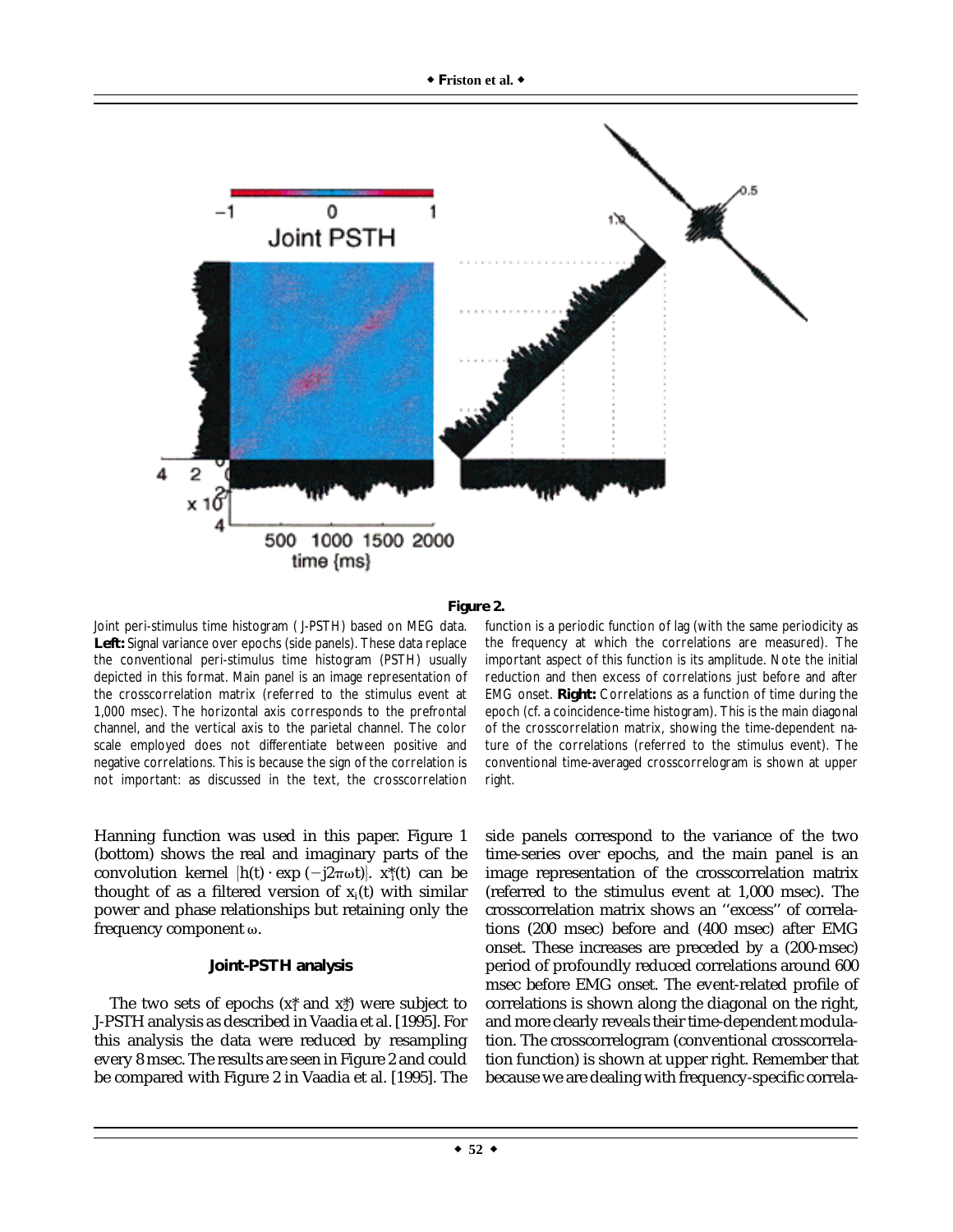

#### **Figure 2.**

Joint peri-stimulus time histogram ( J-PSTH) based on MEG data. **Left:** Signal variance over epochs (side panels). These data replace the conventional peri-stimulus time histogram (PSTH) usually depicted in this format. Main panel is an image representation of the crosscorrelation matrix (referred to the stimulus event at 1,000 msec). The horizontal axis corresponds to the prefrontal channel, and the vertical axis to the parietal channel. The color scale employed does not differentiate between positive and negative correlations. This is because the sign of the correlation is not important: as discussed in the text, the crosscorrelation

Hanning function was used in this paper. Figure 1 (bottom) shows the real and imaginary parts of the convolution kernel  $[h(t) \cdot exp(-j2\pi\omega t)]$ .  $x_i^*(t)$  can be thought of as a filtered version of  $x_i(t)$  with similar power and phase relationships but retaining only the frequency component  $\omega$ .

## **Joint-PSTH analysis**

The two sets of epochs  $(x_1^*$  and  $x_2^*)$  were subject to J-PSTH analysis as described in Vaadia et al. [1995]. For this analysis the data were reduced by resampling every 8 msec. The results are seen in Figure 2 and could be compared with Figure 2 in Vaadia et al. [1995]. The function is a periodic function of lag (with the same periodicity as the frequency at which the correlations are measured). The important aspect of this function is its amplitude. Note the initial reduction and then excess of correlations just before and after EMG onset. **Right:** Correlations as a function of time during the epoch (cf. a coincidence-time histogram). This is the main diagonal of the crosscorrelation matrix, showing the time-dependent nature of the correlations (referred to the stimulus event). The conventional time-averaged crosscorrelogram is shown at upper right.

side panels correspond to the variance of the two time-series over epochs, and the main panel is an image representation of the crosscorrelation matrix (referred to the stimulus event at 1,000 msec). The crosscorrelation matrix shows an ''excess'' of correlations (200 msec) before and (400 msec) after EMG onset. These increases are preceded by a (200-msec) period of profoundly reduced correlations around 600 msec before EMG onset. The event-related profile of correlations is shown along the diagonal on the right, and more clearly reveals their time-dependent modulation. The crosscorrelogram (conventional crosscorrelation function) is shown at upper right. Remember that because we are dealing with frequency-specific correla-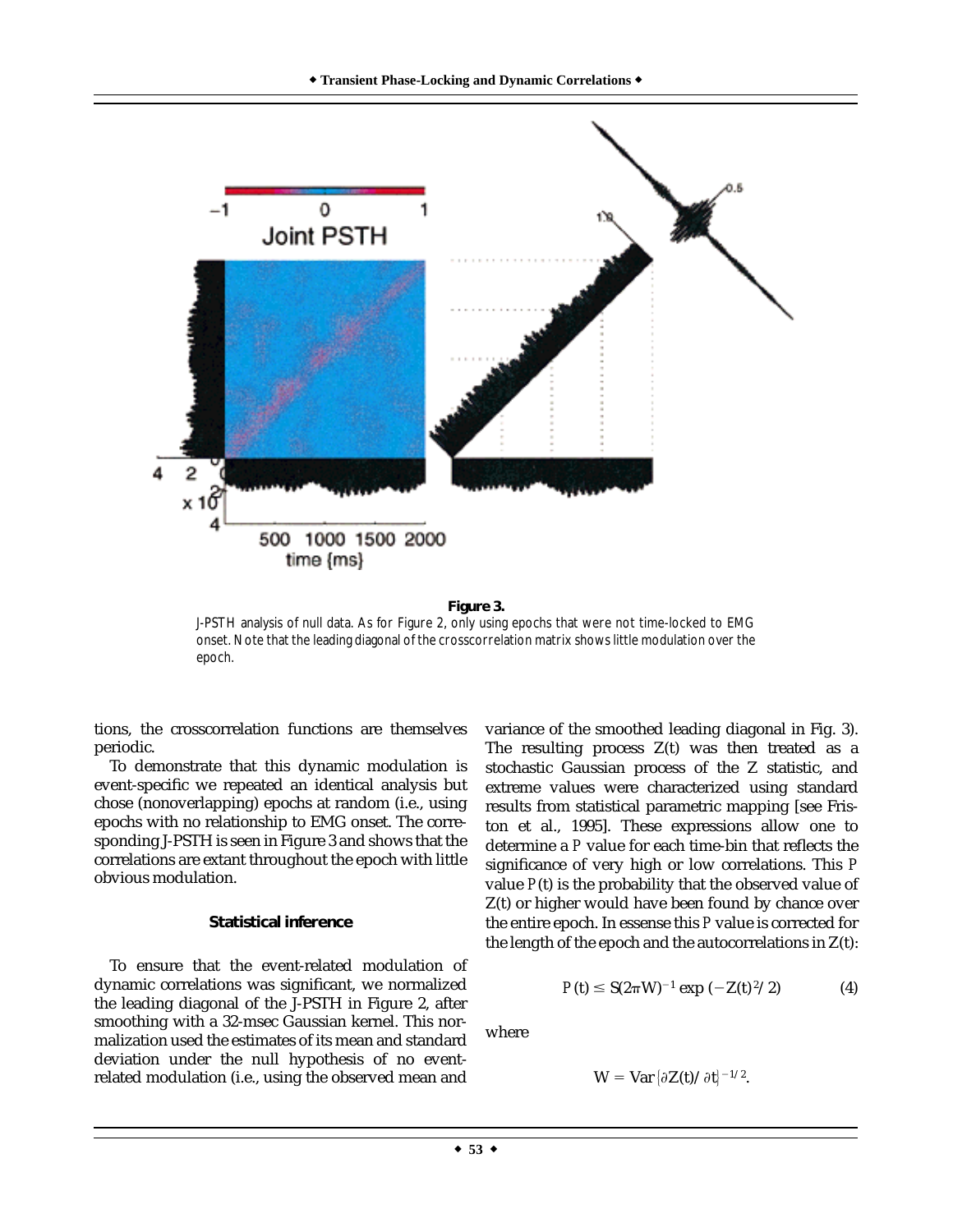

**Figure 3.**

J-PSTH analysis of null data. As for Figure 2, only using epochs that were not time-locked to EMG onset. Note that the leading diagonal of the crosscorrelation matrix shows little modulation over the epoch.

tions, the crosscorrelation functions are themselves periodic.

To demonstrate that this dynamic modulation is event-specific we repeated an identical analysis but chose (nonoverlapping) epochs at random (i.e., using epochs with no relationship to EMG onset. The corresponding J-PSTH is seen in Figure 3 and shows that the correlations are extant throughout the epoch with little obvious modulation.

#### **Statistical inference**

To ensure that the event-related modulation of dynamic correlations was significant, we normalized the leading diagonal of the J-PSTH in Figure 2, after smoothing with a 32-msec Gaussian kernel. This normalization used the estimates of its mean and standard deviation under the null hypothesis of no eventrelated modulation (i.e., using the observed mean and variance of the smoothed leading diagonal in Fig. 3). The resulting process  $Z(t)$  was then treated as a stochastic Gaussian process of the Z statistic, and extreme values were characterized using standard results from statistical parametric mapping [see Friston et al., 1995]. These expressions allow one to determine a *P* value for each time-bin that reflects the significance of very high or low correlations. This *P* value *P*(t) is the probability that the observed value of Z(t) or higher would have been found by chance over the entire epoch. In essense this *P* value is corrected for the length of the epoch and the autocorrelations in  $Z(t)$ :

$$
P(t) \le S(2\pi W)^{-1} \exp(-Z(t)^2/2)
$$
 (4)

where

$$
W = Var \left[ \partial Z(t) / \partial t \right]^{-1/2}.
$$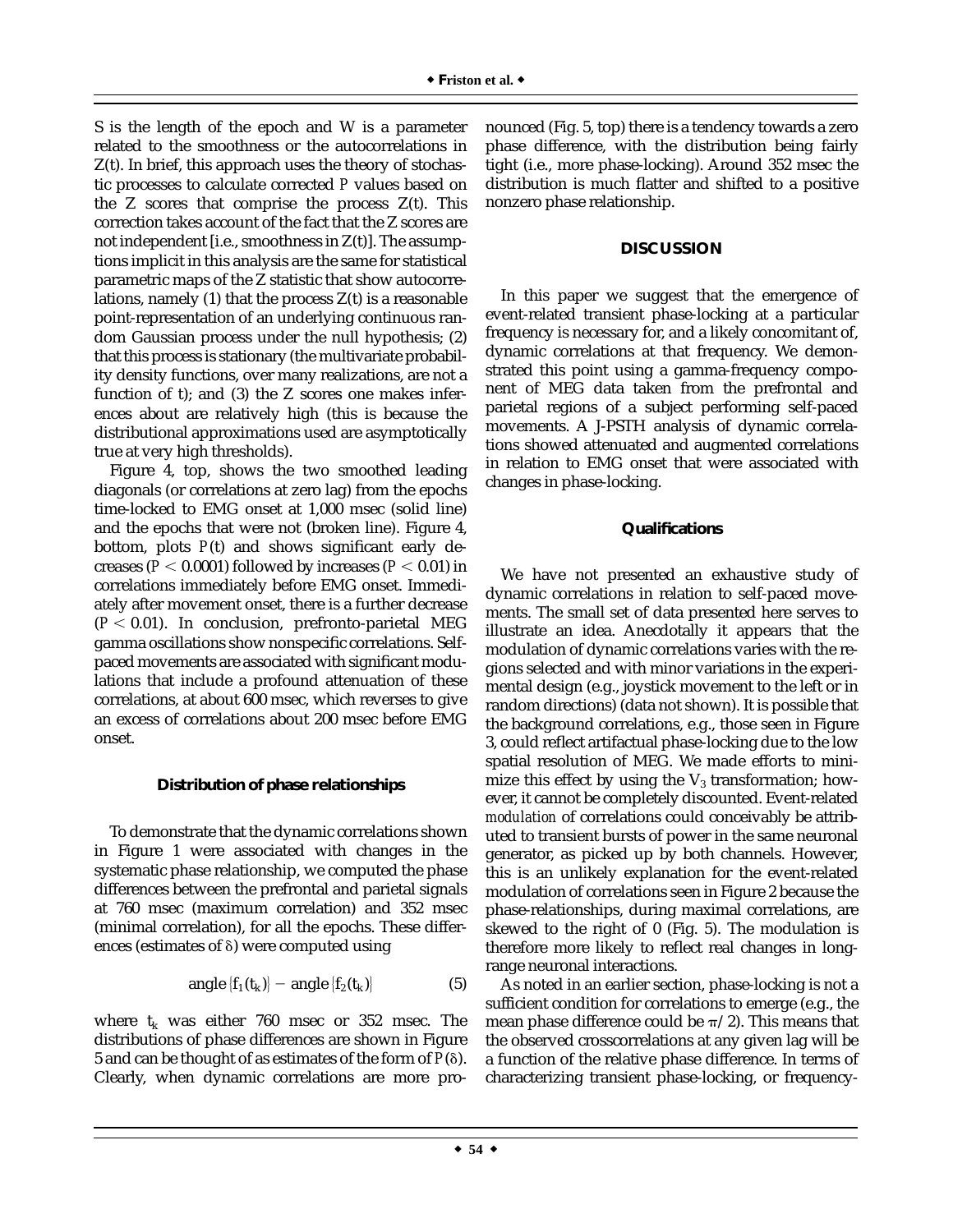S is the length of the epoch and W is a parameter related to the smoothness or the autocorrelations in Z(t). In brief, this approach uses the theory of stochastic processes to calculate corrected *P* values based on the Z scores that comprise the process Z(t). This correction takes account of the fact that the Z scores are not independent [i.e., smoothness in  $Z(t)$ ]. The assumptions implicit in this analysis are the same for statistical parametric maps of the Z statistic that show autocorrelations, namely (1) that the process Z(t) is a reasonable point-representation of an underlying continuous random Gaussian process under the null hypothesis; (2) that this process is stationary (the multivariate probability density functions, over many realizations, are not a function of t); and (3) the Z scores one makes inferences about are relatively high (this is because the distributional approximations used are asymptotically true at very high thresholds).

Figure 4, top, shows the two smoothed leading diagonals (or correlations at zero lag) from the epochs time-locked to EMG onset at 1,000 msec (solid line) and the epochs that were not (broken line). Figure 4, bottom, plots *P*(t) and shows significant early decreases ( $P < 0.0001$ ) followed by increases ( $P < 0.01$ ) in correlations immediately before EMG onset. Immediately after movement onset, there is a further decrease  $(P < 0.01)$ . In conclusion, prefronto-parietal MEG gamma oscillations show nonspecific correlations. Selfpaced movements are associated with significant modulations that include a profound attenuation of these correlations, at about 600 msec, which reverses to give an excess of correlations about 200 msec before EMG onset.

## **Distribution of phase relationships**

To demonstrate that the dynamic correlations shown in Figure 1 were associated with changes in the systematic phase relationship, we computed the phase differences between the prefrontal and parietal signals at 760 msec (maximum correlation) and 352 msec (minimal correlation), for all the epochs. These differences (estimates of  $\delta$ ) were computed using

$$
angle [f1(tk)] - angle [f2(tk)] \qquad (5)
$$

where  $t_k$  was either 760 msec or 352 msec. The distributions of phase differences are shown in Figure 5 and can be thought of as estimates of the form of  $P(\delta)$ . Clearly, when dynamic correlations are more pro-

nounced (Fig. 5, top) there is a tendency towards a zero phase difference, with the distribution being fairly tight (i.e., more phase-locking). Around 352 msec the distribution is much flatter and shifted to a positive nonzero phase relationship.

## **DISCUSSION**

In this paper we suggest that the emergence of event-related transient phase-locking at a particular frequency is necessary for, and a likely concomitant of, dynamic correlations at that frequency. We demonstrated this point using a gamma-frequency component of MEG data taken from the prefrontal and parietal regions of a subject performing self-paced movements. A J-PSTH analysis of dynamic correlations showed attenuated and augmented correlations in relation to EMG onset that were associated with changes in phase-locking.

## **Qualifications**

We have not presented an exhaustive study of dynamic correlations in relation to self-paced movements. The small set of data presented here serves to illustrate an idea. Anecdotally it appears that the modulation of dynamic correlations varies with the regions selected and with minor variations in the experimental design (e.g., joystick movement to the left or in random directions) (data not shown). It is possible that the background correlations, e.g., those seen in Figure 3, could reflect artifactual phase-locking due to the low spatial resolution of MEG. We made efforts to minimize this effect by using the  $V_3$  transformation; however, it cannot be completely discounted. Event-related *modulation* of correlations could conceivably be attributed to transient bursts of power in the same neuronal generator, as picked up by both channels. However, this is an unlikely explanation for the event-related modulation of correlations seen in Figure 2 because the phase-relationships, during maximal correlations, are skewed to the right of 0 (Fig. 5). The modulation is therefore more likely to reflect real changes in longrange neuronal interactions.

As noted in an earlier section, phase-locking is not a sufficient condition for correlations to emerge (e.g., the mean phase difference could be  $\pi/2$ ). This means that the observed crosscorrelations at any given lag will be a function of the relative phase difference. In terms of characterizing transient phase-locking, or frequency-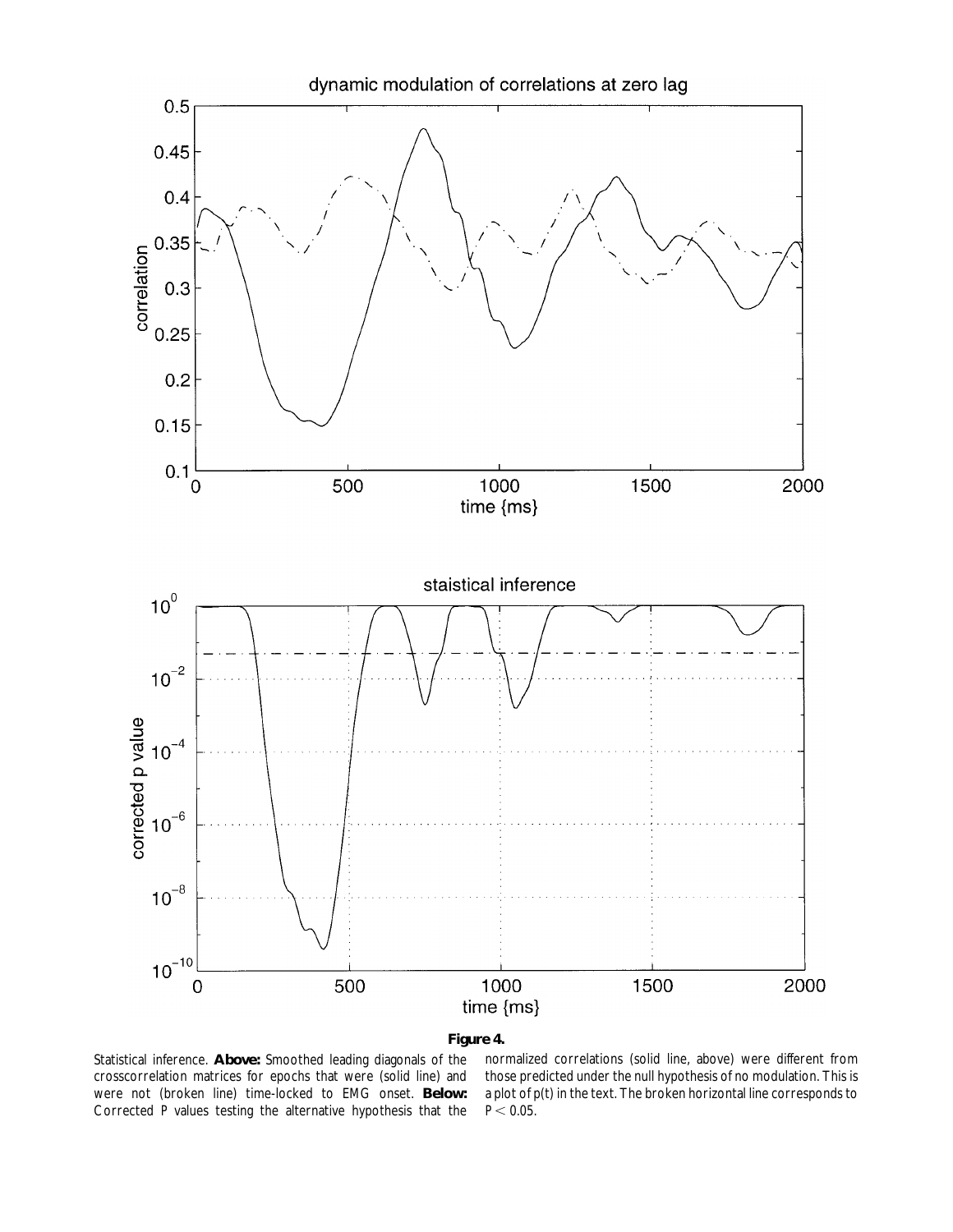



Statistical inference. **Above:** Smoothed leading diagonals of the crosscorrelation matrices for epochs that were (solid line) and were not (broken line) time-locked to EMG onset. **Below:** Corrected *P* values testing the alternative hypothesis that the

normalized correlations (solid line, above) were different from those predicted under the null hypothesis of no modulation. This is a plot of p(t) in the text. The broken horizontal line corresponds to  $P < 0.05$ .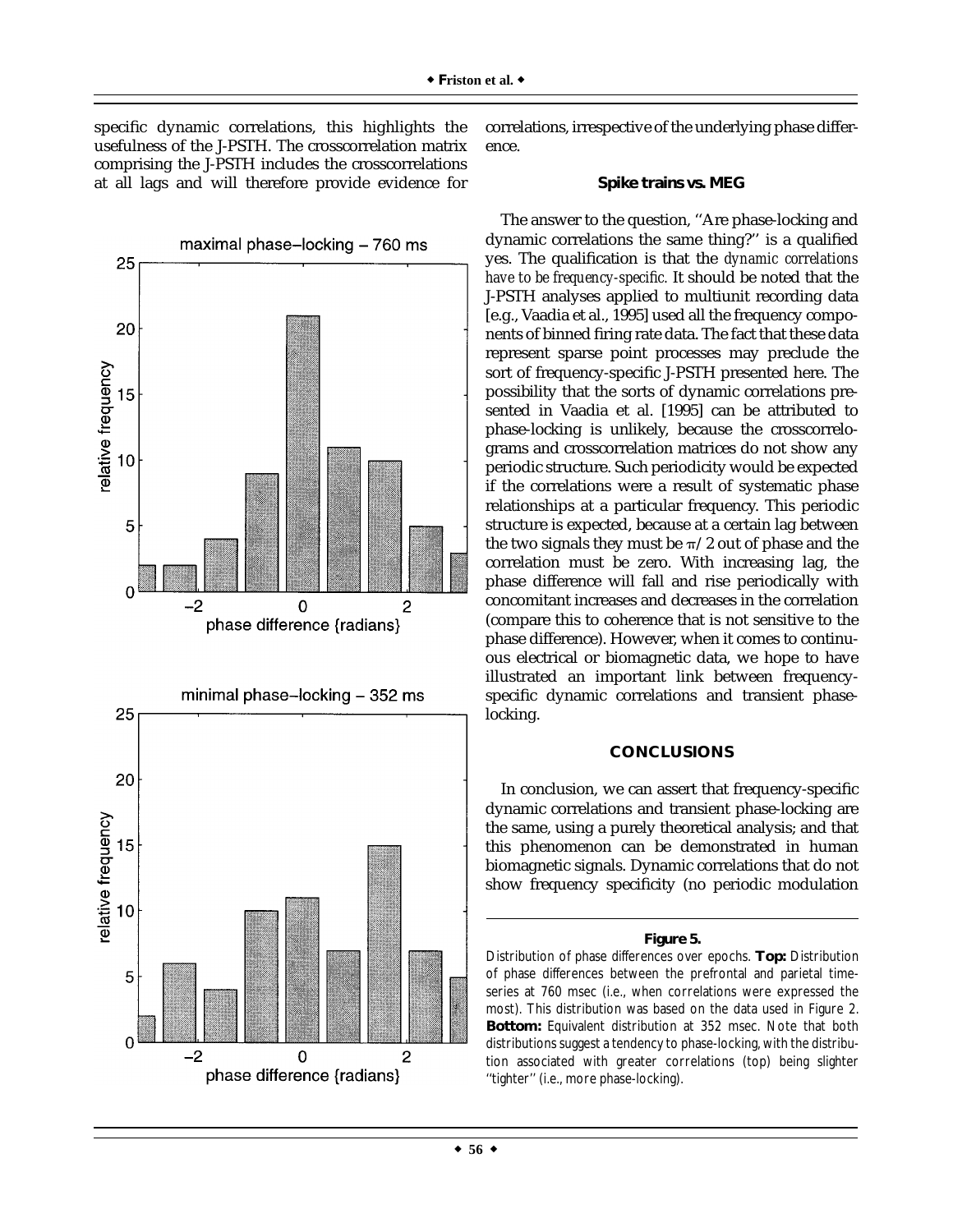specific dynamic correlations, this highlights the usefulness of the J-PSTH. The crosscorrelation matrix comprising the J-PSTH includes the crosscorrelations at all lags and will therefore provide evidence for





correlations, irrespective of the underlying phase difference.

## **Spike trains vs. MEG**

The answer to the question, ''Are phase-locking and dynamic correlations the same thing?'' is a qualified yes. The qualification is that the *dynamic correlations have to be frequency-specific.* It should be noted that the J-PSTH analyses applied to multiunit recording data [e.g., Vaadia et al., 1995] used all the frequency components of binned firing rate data. The fact that these data represent sparse point processes may preclude the sort of frequency-specific J-PSTH presented here. The possibility that the sorts of dynamic correlations presented in Vaadia et al. [1995] can be attributed to phase-locking is unlikely, because the crosscorrelograms and crosscorrelation matrices do not show any periodic structure. Such periodicity would be expected if the correlations were a result of systematic phase relationships at a particular frequency. This periodic structure is expected, because at a certain lag between the two signals they must be  $\pi/2$  out of phase and the correlation must be zero. With increasing lag, the phase difference will fall and rise periodically with concomitant increases and decreases in the correlation (compare this to coherence that is not sensitive to the phase difference). However, when it comes to continuous electrical or biomagnetic data, we hope to have illustrated an important link between frequencyspecific dynamic correlations and transient phaselocking.

# **CONCLUSIONS**

In conclusion, we can assert that frequency-specific dynamic correlations and transient phase-locking are the same, using a purely theoretical analysis; and that this phenomenon can be demonstrated in human biomagnetic signals. Dynamic correlations that do not show frequency specificity (no periodic modulation

# **Figure 5.**

Distribution of phase differences over epochs. **Top:** Distribution of phase differences between the prefrontal and parietal timeseries at 760 msec (i.e., when correlations were expressed the most). This distribution was based on the data used in Figure 2. **Bottom:** Equivalent distribution at 352 msec. Note that both distributions suggest a tendency to phase-locking, with the distribution associated with greater correlations (top) being slighter ''tighter'' (i.e., more phase-locking).

 $\div$  56  $\div$